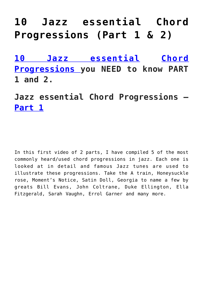## **[10 Jazz essential Chord](https://sheetmusiclibrary.website/2022/05/02/10-jazz-essential-chords/) [Progressions \(Part 1 & 2\)](https://sheetmusiclibrary.website/2022/05/02/10-jazz-essential-chords/)**

**[10 Jazz essential](https://sheetmusiclibrary.website/jazz-soul-boogie-gospel-blues-piano-sheet-music-pdf/) [Chord](https://youtu.be/nSO3dIWIe3g) [Progressions](https://youtu.be/nSO3dIWIe3g) you NEED to know PART 1 and 2.**

**Jazz essential Chord Progressions – [Part 1](https://youtu.be/nSO3dIWIe3g)**

In this first video of 2 parts, I have compiled 5 of the most commonly heard/used chord progressions in jazz. Each one is looked at in detail and famous Jazz tunes are used to illustrate these progressions. Take the A train, Honeysuckle rose, Moment's Notice, Satin Doll, Georgia to name a few by greats Bill Evans, John Coltrane, Duke Ellington, Ella Fitzgerald, Sarah Vaughn, Errol Garner and many more.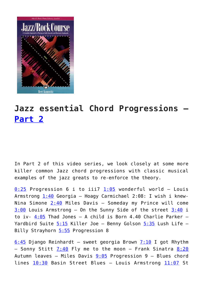

## **Jazz essential Chord Progressions – [Part 2](https://www.youtube.com/watch?v=Yy3f5LKByM0)**

In Part 2 of this video series, we look closely at some more killer common Jazz chord progressions with classic musical examples of the jazz greats to re-enforce the theory.

 $0:25$  Progression 6 i to iii7  $1:05$  wonderful world - Louis Armstrong  $1:40$  Georgia – Hoagy Carmichael 2:08: I wish i knew-Nina Simone  $2:40$  Miles Davis - Someday my Prince will come  $3:00$  Louis Armstrong – On the Sunny Side of the street  $3:40$  i to iv-  $4:05$  Thad Jones - A child is Born 4.40 Charlie Parker -Yardbird Suite [5:15](https://www.youtube.com/watch?v=Yy3f5LKByM0&t=315s) Killer Joe - Benny Golson [5:35](https://www.youtube.com/watch?v=Yy3f5LKByM0&t=335s) Lush Life -Billy Strayhorn [5:55](https://www.youtube.com/watch?v=Yy3f5LKByM0&t=355s) Progression 8

 $6:45$  Django Reinhardt – sweet georgia Brown [7:10](https://www.youtube.com/watch?v=Yy3f5LKByM0&t=430s) I got Rhythm - Sonny Stitt  $7:40$  Fly me to the moon - Frank Sinatra  $8:20$ Autumn leaves – Miles Davis  $9:05$  Progression 9 – Blues chord lines [10:30](https://www.youtube.com/watch?v=Yy3f5LKByM0&t=630s) Basin Street Blues – Louis Armstrong [11:07](https://www.youtube.com/watch?v=Yy3f5LKByM0&t=667s) St